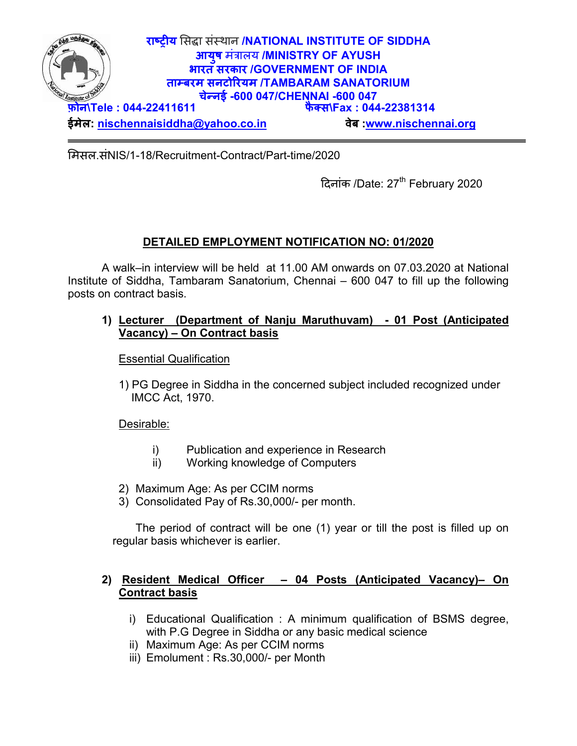

मसल.संNIS/1-18/Recruitment-Contract/Part-time/2020

दिनांक /Date: 27<sup>th</sup> February 2020

## **DETAILED EMPLOYMENT NOTIFICATION NO: 01/2020**

A walk–in interview will be held at 11.00 AM onwards on 07.03.2020 at National Institute of Siddha, Tambaram Sanatorium, Chennai – 600 047 to fill up the following posts on contract basis.

## **1) Lecturer (Department of Nanju Maruthuvam) - 01 Post (Anticipated Vacancy) – On Contract basis**

Essential Qualification

1) PG Degree in Siddha in the concerned subject included recognized under IMCC Act, 1970.

Desirable:

- i) Publication and experience in Research
- ii) Working knowledge of Computers
- 2) Maximum Age: As per CCIM norms
- 3) Consolidated Pay of Rs.30,000/- per month.

The period of contract will be one (1) year or till the post is filled up on regular basis whichever is earlier.

## **2) Resident Medical Officer – 04 Posts (Anticipated Vacancy)– On Contract basis**

- i) Educational Qualification : A minimum qualification of BSMS degree, with P.G Degree in Siddha or any basic medical science
- ii) Maximum Age: As per CCIM norms
- iii) Emolument : Rs.30,000/- per Month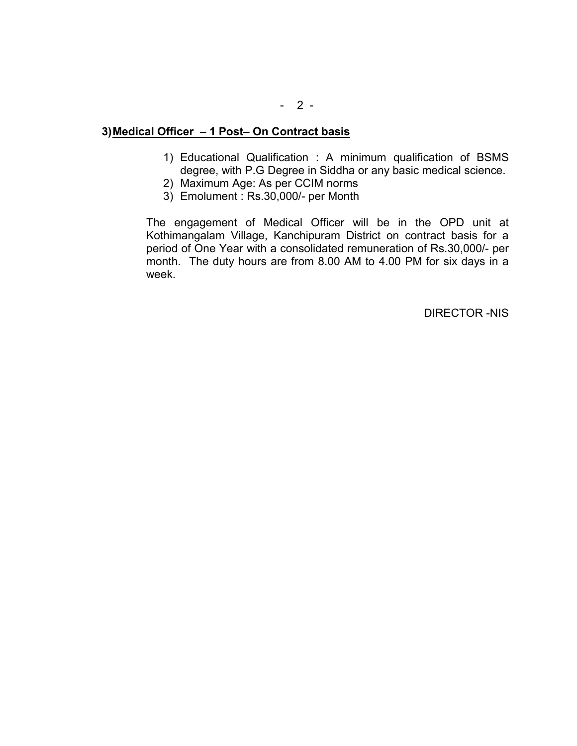- 1) Educational Qualification : A minimum qualification of BSMS degree, with P.G Degree in Siddha or any basic medical science.
- 2) Maximum Age: As per CCIM norms
- 3) Emolument : Rs.30,000/- per Month

The engagement of Medical Officer will be in the OPD unit at Kothimangalam Village, Kanchipuram District on contract basis for a period of One Year with a consolidated remuneration of Rs.30,000/- per month. The duty hours are from 8.00 AM to 4.00 PM for six days in a week.

DIRECTOR -NIS